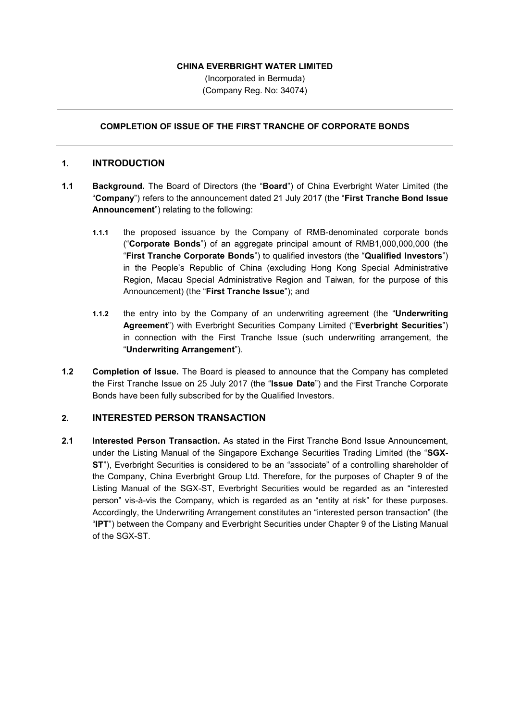### **CHINA EVERBRIGHT WATER LIMITED**

(Incorporated in Bermuda) (Company Reg. No: 34074)

## **COMPLETION OF ISSUE OF THE FIRST TRANCHE OF CORPORATE BONDS**

### **1. INTRODUCTION**

- **1.1 Background.** The Board of Directors (the "**Board**") of China Everbright Water Limited (the "**Company**") refers to the announcement dated 21 July 2017 (the "**First Tranche Bond Issue Announcement**") relating to the following:
	- **1.1.1** the proposed issuance by the Company of RMB-denominated corporate bonds ("**Corporate Bonds**") of an aggregate principal amount of RMB1,000,000,000 (the "**First Tranche Corporate Bonds**") to qualified investors (the "**Qualified Investors**") in the People's Republic of China (excluding Hong Kong Special Administrative Region, Macau Special Administrative Region and Taiwan, for the purpose of this Announcement) (the "**First Tranche Issue**"); and
	- **1.1.2** the entry into by the Company of an underwriting agreement (the "**Underwriting Agreement**") with Everbright Securities Company Limited ("**Everbright Securities**") in connection with the First Tranche Issue (such underwriting arrangement, the "**Underwriting Arrangement**").
- **1.2 Completion of Issue.** The Board is pleased to announce that the Company has completed the First Tranche Issue on 25 July 2017 (the "**Issue Date**") and the First Tranche Corporate Bonds have been fully subscribed for by the Qualified Investors.

# **2. INTERESTED PERSON TRANSACTION**

**2.1 Interested Person Transaction.** As stated in the First Tranche Bond Issue Announcement, under the Listing Manual of the Singapore Exchange Securities Trading Limited (the "**SGX-ST**"), Everbright Securities is considered to be an "associate" of a controlling shareholder of the Company, China Everbright Group Ltd. Therefore, for the purposes of Chapter 9 of the Listing Manual of the SGX-ST, Everbright Securities would be regarded as an "interested person" vis-à-vis the Company, which is regarded as an "entity at risk" for these purposes. Accordingly, the Underwriting Arrangement constitutes an "interested person transaction" (the "**IPT**") between the Company and Everbright Securities under Chapter 9 of the Listing Manual of the SGX-ST.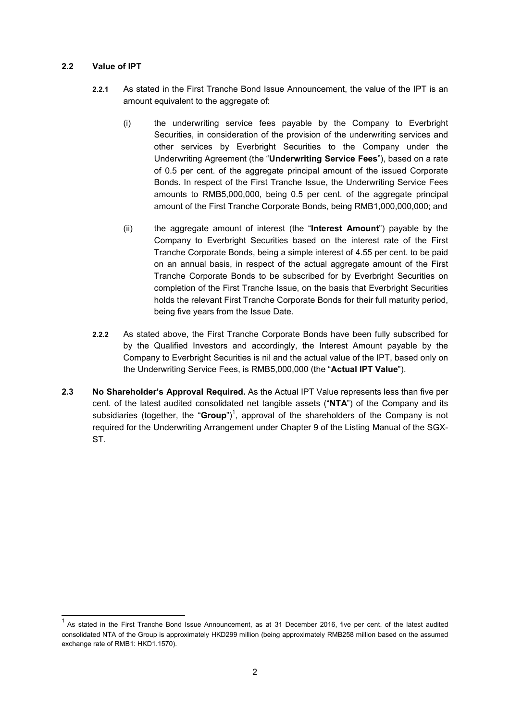### **2.2 Value of IPT**

-

- **2.2.1** As stated in the First Tranche Bond Issue Announcement, the value of the IPT is an amount equivalent to the aggregate of:
	- (i) the underwriting service fees payable by the Company to Everbright Securities, in consideration of the provision of the underwriting services and other services by Everbright Securities to the Company under the Underwriting Agreement (the "**Underwriting Service Fees**"), based on a rate of 0.5 per cent. of the aggregate principal amount of the issued Corporate Bonds. In respect of the First Tranche Issue, the Underwriting Service Fees amounts to RMB5,000,000, being 0.5 per cent. of the aggregate principal amount of the First Tranche Corporate Bonds, being RMB1,000,000,000; and
	- (ii) the aggregate amount of interest (the "**Interest Amount**") payable by the Company to Everbright Securities based on the interest rate of the First Tranche Corporate Bonds, being a simple interest of 4.55 per cent. to be paid on an annual basis, in respect of the actual aggregate amount of the First Tranche Corporate Bonds to be subscribed for by Everbright Securities on completion of the First Tranche Issue, on the basis that Everbright Securities holds the relevant First Tranche Corporate Bonds for their full maturity period, being five years from the Issue Date.
- **2.2.2** As stated above, the First Tranche Corporate Bonds have been fully subscribed for by the Qualified Investors and accordingly, the Interest Amount payable by the Company to Everbright Securities is nil and the actual value of the IPT, based only on the Underwriting Service Fees, is RMB5,000,000 (the "**Actual IPT Value**").
- **2.3 No Shareholder's Approval Required.** As the Actual IPT Value represents less than five per cent. of the latest audited consolidated net tangible assets ("**NTA**") of the Company and its subsidiaries (together, the "**Group**")<sup>1</sup>, approval of the shareholders of the Company is not required for the Underwriting Arrangement under Chapter 9 of the Listing Manual of the SGX-ST.

<sup>1</sup> As stated in the First Tranche Bond Issue Announcement, as at 31 December 2016, five per cent. of the latest audited consolidated NTA of the Group is approximately HKD299 million (being approximately RMB258 million based on the assumed exchange rate of RMB1: HKD1.1570).